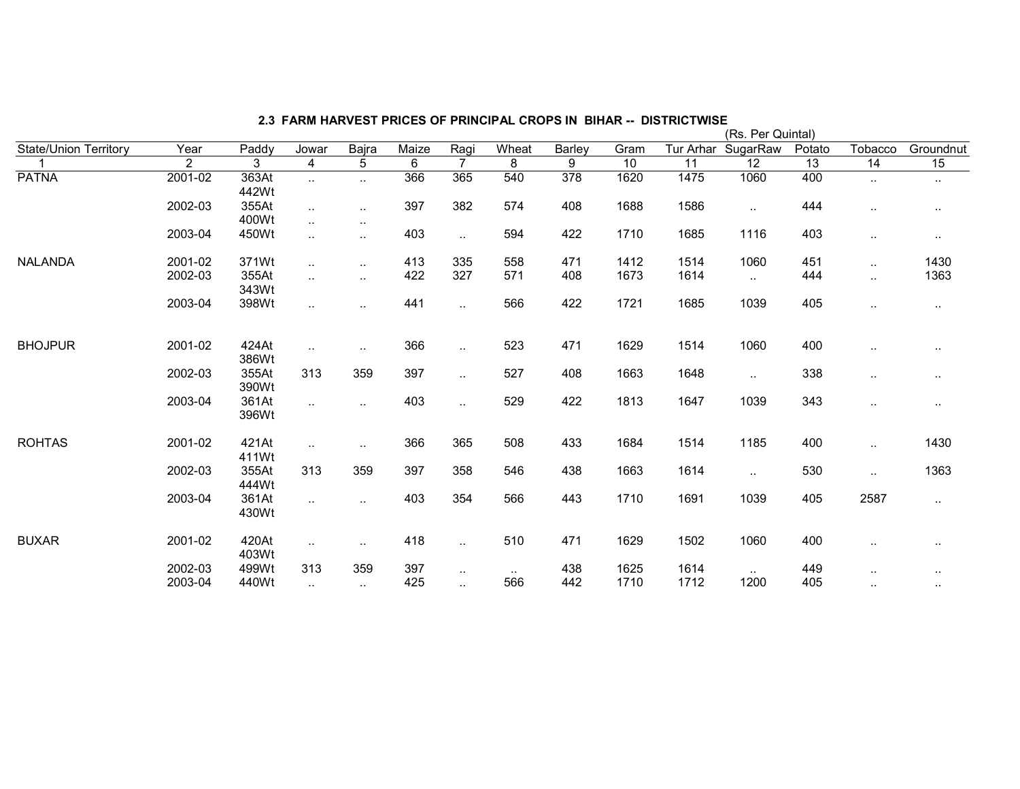|                              |         |       |           |               |       |                      |        |        |      |           | (Rs. Per Quintal) |        |                      |               |
|------------------------------|---------|-------|-----------|---------------|-------|----------------------|--------|--------|------|-----------|-------------------|--------|----------------------|---------------|
| <b>State/Union Territory</b> | Year    | Paddy | Jowar     | Bajra         | Maize | Ragi                 | Wheat  | Barley | Gram | Tur Arhar | SugarRaw          | Potato | Tobacco              | Groundnut     |
|                              | 2       | 3     | 4         | 5             | 6     |                      | 8      | 9      | 10   | 11        | 12                | 13     | 14                   | 15            |
| <b>PATNA</b>                 | 2001-02 | 363At | $\ddotsc$ | $\ddotsc$     | 366   | 365                  | 540    | 378    | 1620 | 1475      | 1060              | 400    | $\ddot{\phantom{a}}$ | $\sim$        |
|                              |         | 442Wt |           |               |       |                      |        |        |      |           |                   |        |                      |               |
|                              | 2002-03 | 355At | $\ddotsc$ | $\ldots$      | 397   | 382                  | 574    | 408    | 1688 | 1586      | $\sim$            | 444    | $\sim$               | $\sim$        |
|                              |         | 400Wt | $\ddotsc$ | $\cdot$ .     |       |                      |        |        |      |           |                   |        |                      |               |
|                              | 2003-04 | 450Wt | $\ddotsc$ | $\ddotsc$     | 403   | $\ddotsc$            | 594    | 422    | 1710 | 1685      | 1116              | 403    | $\cdot$ .            | $\cdots$      |
| <b>NALANDA</b>               | 2001-02 | 371Wt | $\ddotsc$ | $\cdot$ .     | 413   | 335                  | 558    | 471    | 1412 | 1514      | 1060              | 451    | $\ddotsc$            | 1430          |
|                              | 2002-03 | 355At | $\ddotsc$ | . .           | 422   | 327                  | 571    | 408    | 1673 | 1614      | $\ddotsc$         | 444    | $\ddotsc$            | 1363          |
|                              |         | 343Wt |           |               |       |                      |        |        |      |           |                   |        |                      |               |
|                              | 2003-04 | 398Wt | $\cdot$ . | $\sim$ $\sim$ | 441   | $\ddotsc$            | 566    | 422    | 1721 | 1685      | 1039              | 405    | $\sim$               | $\cdots$      |
|                              |         |       |           |               |       |                      |        |        |      |           |                   |        |                      |               |
| <b>BHOJPUR</b>               | 2001-02 | 424At | $\sim$    | $\cdot$ .     | 366   | $\ddot{\phantom{1}}$ | 523    | 471    | 1629 | 1514      | 1060              | 400    | . .                  | $\sim$ $\sim$ |
|                              |         | 386Wt |           |               |       |                      |        |        |      |           |                   |        |                      |               |
|                              | 2002-03 | 355At | 313       | 359           | 397   | $\sim$               | 527    | 408    | 1663 | 1648      | $\ddotsc$         | 338    |                      | $\sim$        |
|                              |         | 390Wt |           |               |       |                      |        |        |      |           |                   |        |                      |               |
|                              | 2003-04 | 361At | $\ddotsc$ | $\cdot$ .     | 403   | $\ddot{\phantom{1}}$ | 529    | 422    | 1813 | 1647      | 1039              | 343    | $\sim$               | $\cdot$ .     |
|                              |         | 396Wt |           |               |       |                      |        |        |      |           |                   |        |                      |               |
| <b>ROHTAS</b>                | 2001-02 | 421At | $\cdot$ . | $\cdot$ .     | 366   | 365                  | 508    | 433    | 1684 | 1514      | 1185              | 400    | $\ddot{\phantom{a}}$ | 1430          |
|                              |         | 411Wt |           |               |       |                      |        |        |      |           |                   |        |                      |               |
|                              | 2002-03 | 355At | 313       | 359           | 397   | 358                  | 546    | 438    | 1663 | 1614      | $\ddotsc$         | 530    | $\ddotsc$            | 1363          |
|                              |         | 444Wt |           |               |       |                      |        |        |      |           |                   |        |                      |               |
|                              | 2003-04 | 361At | $\ddotsc$ | $\ddotsc$     | 403   | 354                  | 566    | 443    | 1710 | 1691      | 1039              | 405    | 2587                 | $\ldots$      |
|                              |         | 430Wt |           |               |       |                      |        |        |      |           |                   |        |                      |               |
| <b>BUXAR</b>                 | 2001-02 | 420At | $\ddotsc$ | $\ldots$      | 418   | $\ddot{\phantom{1}}$ | 510    | 471    | 1629 | 1502      | 1060              | 400    | $\cdot$ .            |               |
|                              |         | 403Wt |           |               |       |                      |        |        |      |           |                   |        |                      |               |
|                              | 2002-03 | 499Wt | 313       | 359           | 397   | $\sim$               | $\sim$ | 438    | 1625 | 1614      | $\sim$            | 449    | $\ddot{\phantom{a}}$ |               |
|                              | 2003-04 | 440Wt | $\sim$    | $\sim$        | 425   | $\ddotsc$            | 566    | 442    | 1710 | 1712      | 1200              | 405    | $\sim$               | $\sim$        |
|                              |         |       |           |               |       |                      |        |        |      |           |                   |        |                      |               |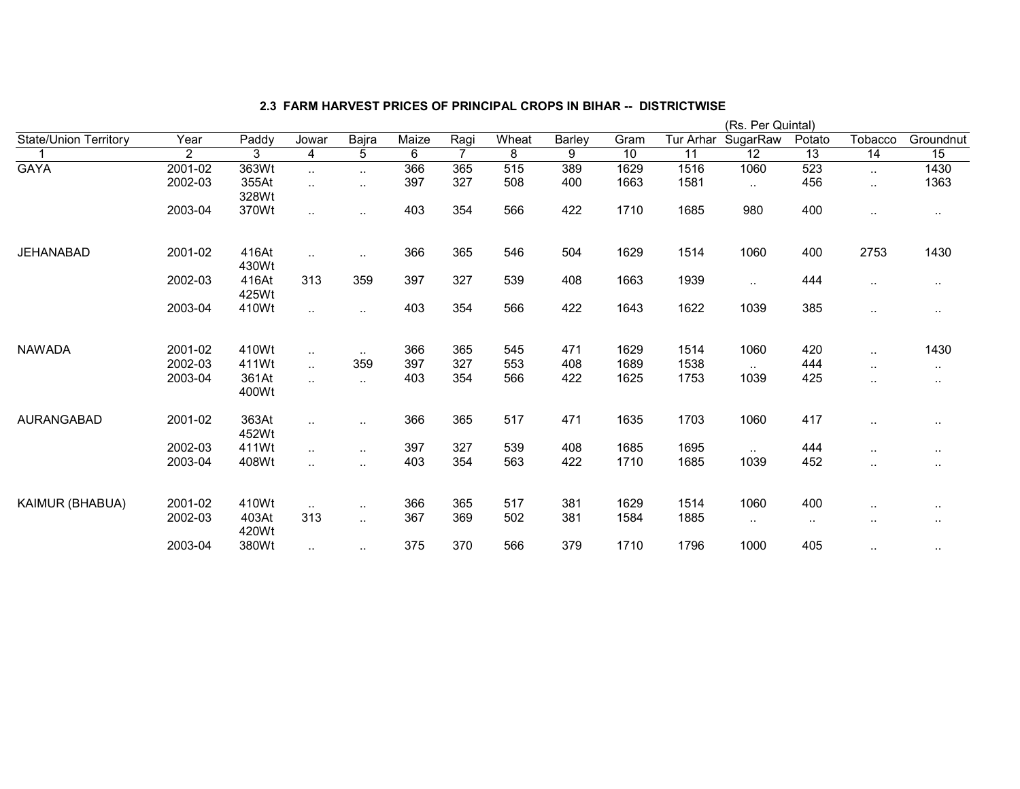|                              |                    |                         |                                   |                           |            |                |            |            |              |              | (Rs. Per Quintal) |               |                  |                        |
|------------------------------|--------------------|-------------------------|-----------------------------------|---------------------------|------------|----------------|------------|------------|--------------|--------------|-------------------|---------------|------------------|------------------------|
| <b>State/Union Territory</b> | Year               | Paddy                   | Jowar                             | Bajra                     | Maize      | Ragi           | Wheat      | Barley     | Gram         | Tur Arhar    | SugarRaw          | Potato        | Tobacco          | Groundnut              |
|                              | $\overline{2}$     | 3                       | 4                                 | 5                         | 6          | $\overline{7}$ | 8          | 9          | 10           | 11           | 12                | 13            | 14               | 15                     |
| <b>GAYA</b>                  | 2001-02            | 363Wt                   | $\ddotsc$                         | $\ddotsc$                 | 366        | 365            | 515        | 389        | 1629         | 1516         | 1060              | 523           | $\ldots$         | 1430                   |
|                              | 2002-03            | 355At<br>328Wt          | $\ddotsc$                         | $\ddotsc$                 | 397        | 327            | 508        | 400        | 1663         | 1581         | $\ddotsc$         | 456           | $\ddotsc$        | 1363                   |
|                              | 2003-04            | 370Wt                   | $\ddot{\phantom{a}}$              |                           | 403        | 354            | 566        | 422        | 1710         | 1685         | 980               | 400           | $\ddotsc$        |                        |
| <b>JEHANABAD</b>             | 2001-02            | 416At<br>430Wt          | $\sim$                            | $\ldots$                  | 366        | 365            | 546        | 504        | 1629         | 1514         | 1060              | 400           | 2753             | 1430                   |
|                              | 2002-03            | 416At<br>425Wt          | 313                               | 359                       | 397        | 327            | 539        | 408        | 1663         | 1939         | $\cdot$ .         | 444           | $\sim$           | $\sim$ $\sim$          |
|                              | 2003-04            | 410Wt                   | $\ddotsc$                         | . .                       | 403        | 354            | 566        | 422        | 1643         | 1622         | 1039              | 385           | $\sim$           | $\cdot$ .              |
| <b>NAWADA</b>                | 2001-02            | 410Wt                   | $\ddot{\phantom{1}}$              | $\sim$ $\sim$             | 366        | 365            | 545        | 471        | 1629         | 1514         | 1060              | 420           | $\cdot$ .        | 1430                   |
|                              | 2002-03<br>2003-04 | 411Wt<br>361At<br>400Wt | $\ddotsc$<br>$\ddotsc$            | 359<br>$\cdot$ .          | 397<br>403 | 327<br>354     | 553<br>566 | 408<br>422 | 1689<br>1625 | 1538<br>1753 | $\ddotsc$<br>1039 | 444<br>425    | $\sim$<br>$\sim$ | $\cdot$ .<br>$\cdot$ . |
| AURANGABAD                   | 2001-02            | 363At<br>452Wt          | $\ddotsc$                         | $\ddotsc$                 | 366        | 365            | 517        | 471        | 1635         | 1703         | 1060              | 417           |                  |                        |
|                              | 2002-03<br>2003-04 | 411Wt<br>408Wt          | $\ddot{\phantom{a}}$<br>$\ddotsc$ | $\ddotsc$<br>. .          | 397<br>403 | 327<br>354     | 539<br>563 | 408<br>422 | 1685<br>1710 | 1695<br>1685 | $\sim$<br>1039    | 444<br>452    | <br>             | . .<br>$\sim$          |
| KAIMUR (BHABUA)              | 2001-02<br>2002-03 | 410Wt<br>403At          | $\sim$<br>313                     | $\ddotsc$                 | 366<br>367 | 365<br>369     | 517<br>502 | 381<br>381 | 1629<br>1584 | 1514<br>1885 | 1060              | 400           | $\sim$           | $\sim$                 |
|                              | 2003-04            | 420Wt<br>380Wt          |                                   | $\ldots$<br>$\sim$ $\sim$ | 375        | 370            | 566        | 379        | 1710         | 1796         | $\ddotsc$<br>1000 | $\sim$<br>405 | $\sim$<br>$\sim$ | $\sim$<br>$\cdot$ .    |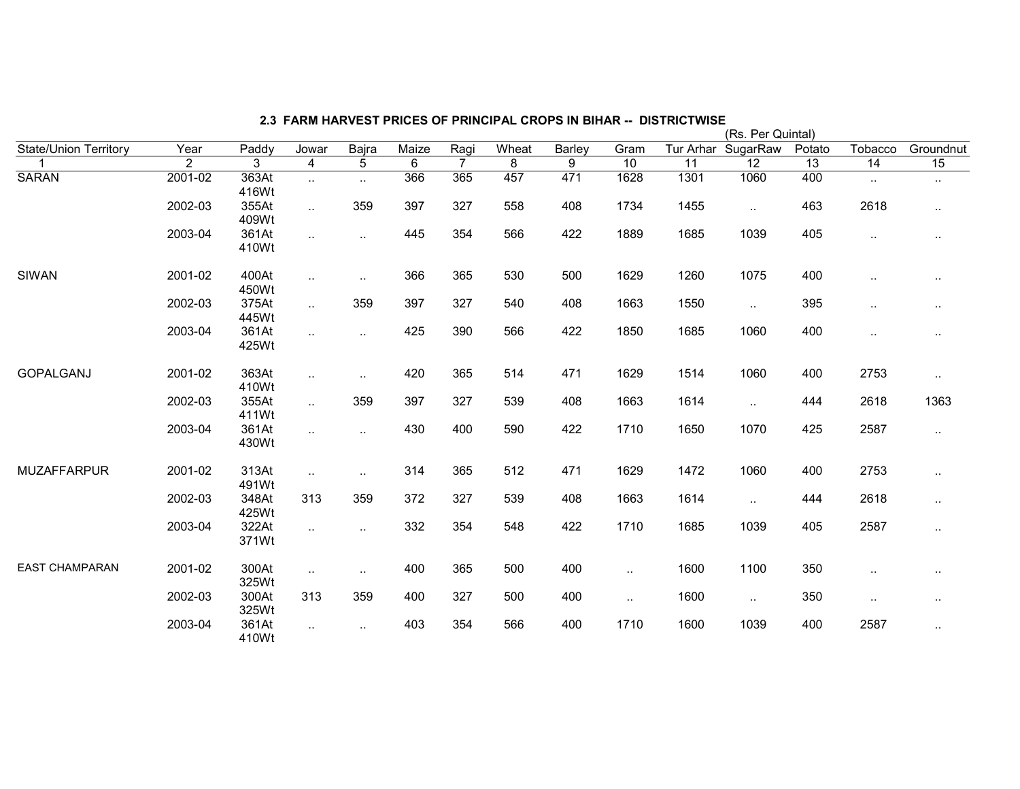|                              |             |                |                      |           |       |                |       |        |              |                 | (Rs. Per Quintal) |                 |                      |                 |
|------------------------------|-------------|----------------|----------------------|-----------|-------|----------------|-------|--------|--------------|-----------------|-------------------|-----------------|----------------------|-----------------|
| <b>State/Union Territory</b> | Year        | Paddy          | Jowar                | Bajra     | Maize | Ragi           | Wheat | Barley | Gram         | Tur Arhar       | SugarRaw          | Potato          | Tobacco              | Groundnut       |
|                              | 2           | 3              | 4                    | 5         | 6     | $\overline{7}$ | 8     | 9      | 10           | $\overline{11}$ | $\overline{12}$   | $\overline{13}$ | 14                   | $\overline{15}$ |
| <b>SARAN</b>                 | $2001 - 02$ | 363At<br>416Wt | $\ddotsc$            | $\ddotsc$ | 366   | 365            | 457   | 471    | 1628         | 1301            | 1060              | 400             | $\ddotsc$            | $\cdot$ .       |
|                              | 2002-03     | 355At<br>409Wt | $\ddotsc$            | 359       | 397   | 327            | 558   | 408    | 1734         | 1455            | $\ddotsc$         | 463             | 2618                 | $\ddotsc$       |
|                              | 2003-04     | 361At<br>410Wt | $\ddotsc$            | $\ddotsc$ | 445   | 354            | 566   | 422    | 1889         | 1685            | 1039              | 405             | $\ddotsc$            | $\ldots$        |
| <b>SIWAN</b>                 | 2001-02     | 400At<br>450Wt | $\ddotsc$            | $\ddotsc$ | 366   | 365            | 530   | 500    | 1629         | 1260            | 1075              | 400             | $\ddot{\phantom{a}}$ | . .             |
|                              | 2002-03     | 375At<br>445Wt | $\ddotsc$            | 359       | 397   | 327            | 540   | 408    | 1663         | 1550            | $\ddotsc$         | 395             | $\ddotsc$            | $\cdot$ .       |
|                              | 2003-04     | 361At<br>425Wt | $\ddot{\phantom{a}}$ | $\ddotsc$ | 425   | 390            | 566   | 422    | 1850         | 1685            | 1060              | 400             | $\cdot$ .            | $\cdot$ .       |
| <b>GOPALGANJ</b>             | 2001-02     | 363At<br>410Wt | $\ddotsc$            | $\ddotsc$ | 420   | 365            | 514   | 471    | 1629         | 1514            | 1060              | 400             | 2753                 | $\ldots$        |
|                              | 2002-03     | 355At<br>411Wt | $\ddotsc$            | 359       | 397   | 327            | 539   | 408    | 1663         | 1614            | $\ddotsc$         | 444             | 2618                 | 1363            |
|                              | 2003-04     | 361At<br>430Wt | $\ddotsc$            | $\ddotsc$ | 430   | 400            | 590   | 422    | 1710         | 1650            | 1070              | 425             | 2587                 | $\cdot$ .       |
| <b>MUZAFFARPUR</b>           | 2001-02     | 313At<br>491Wt | $\sim$               | $\ddotsc$ | 314   | 365            | 512   | 471    | 1629         | 1472            | 1060              | 400             | 2753                 | $\sim$          |
|                              | 2002-03     | 348At<br>425Wt | 313                  | 359       | 372   | 327            | 539   | 408    | 1663         | 1614            | $\ddotsc$         | 444             | 2618                 | $\sim$          |
|                              | 2003-04     | 322At<br>371Wt | $\ddot{\phantom{a}}$ | $\ddotsc$ | 332   | 354            | 548   | 422    | 1710         | 1685            | 1039              | 405             | 2587                 | $\ddotsc$       |
| <b>EAST CHAMPARAN</b>        | 2001-02     | 300At<br>325Wt | $\ddotsc$            | $\sim$    | 400   | 365            | 500   | 400    | $\sim$       | 1600            | 1100              | 350             | $\ddotsc$            |                 |
|                              | 2002-03     | 300At<br>325Wt | 313                  | 359       | 400   | 327            | 500   | 400    | $\mathbf{L}$ | 1600            | $\ddotsc$         | 350             | $\cdot$ .            |                 |
|                              | 2003-04     | 361At<br>410Wt |                      | $\ddotsc$ | 403   | 354            | 566   | 400    | 1710         | 1600            | 1039              | 400             | 2587                 | $\ddotsc$       |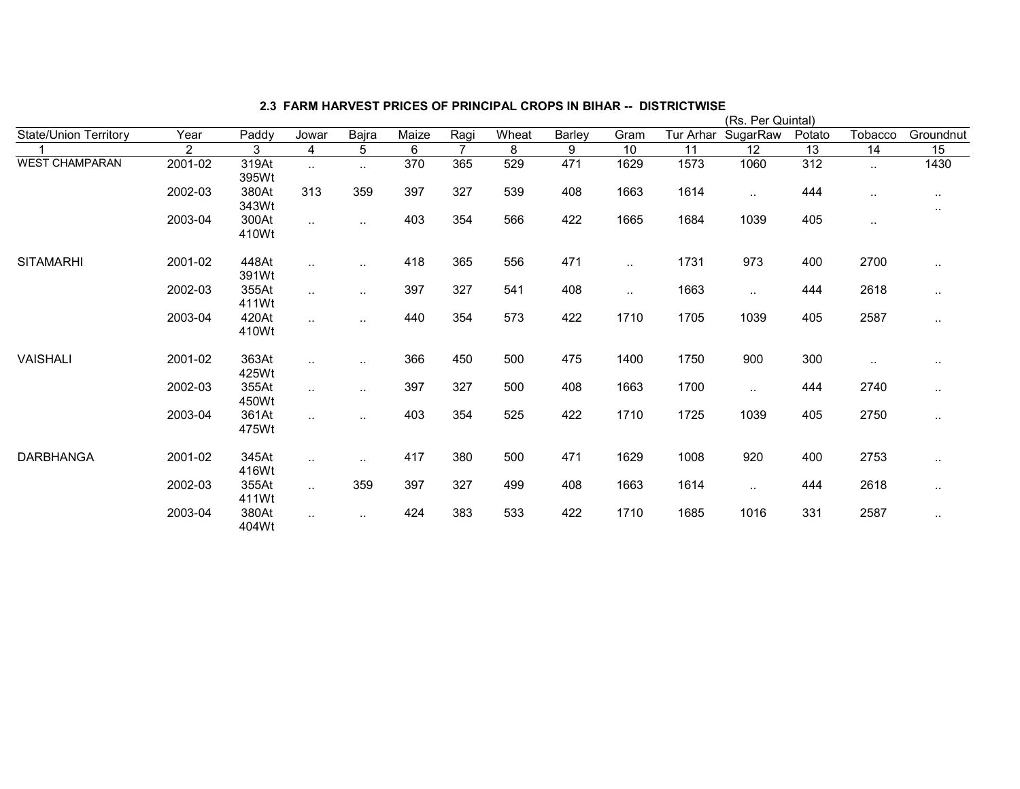|                              |         |                |           |           |       |      |       |        |        |           | (RS. Per Quintal) |        |           |                    |
|------------------------------|---------|----------------|-----------|-----------|-------|------|-------|--------|--------|-----------|-------------------|--------|-----------|--------------------|
| <b>State/Union Territory</b> | Year    | Paddy          | Jowar     | Bajra     | Maize | Ragi | Wheat | Barley | Gram   | Tur Arhar | SugarRaw          | Potato | Tobacco   | Groundnut          |
|                              | 2       | 3              | 4         | 5         | 6     |      | 8     | 9      | 10     | 11        | 12                | 13     | 14        | 15                 |
| <b>WEST CHAMPARAN</b>        | 2001-02 | 319At<br>395Wt | $\sim$    | $\ddotsc$ | 370   | 365  | 529   | 471    | 1629   | 1573      | 1060              | 312    | $\ddotsc$ | 1430               |
|                              | 2002-03 | 380At<br>343Wt | 313       | 359       | 397   | 327  | 539   | 408    | 1663   | 1614      | $\ddotsc$         | 444    | $\ddotsc$ | $\cdots$<br>$\sim$ |
|                              | 2003-04 | 300At<br>410Wt | $\ddotsc$ | $\sim$    | 403   | 354  | 566   | 422    | 1665   | 1684      | 1039              | 405    | $\sim$    |                    |
| <b>SITAMARHI</b>             | 2001-02 | 448At<br>391Wt | $\ddotsc$ | $\ddotsc$ | 418   | 365  | 556   | 471    | $\sim$ | 1731      | 973               | 400    | 2700      | $\sim$             |
|                              | 2002-03 | 355At<br>411Wt | $\ddotsc$ | $\sim$    | 397   | 327  | 541   | 408    | $\sim$ | 1663      | $\sim$            | 444    | 2618      | $\cdots$           |
|                              | 2003-04 | 420At<br>410Wt | $\ddotsc$ | $\ddotsc$ | 440   | 354  | 573   | 422    | 1710   | 1705      | 1039              | 405    | 2587      | $\ldots$           |
| <b>VAISHALI</b>              | 2001-02 | 363At<br>425Wt | $\ddotsc$ | $\ddotsc$ | 366   | 450  | 500   | 475    | 1400   | 1750      | 900               | 300    | $\ddotsc$ | $\cdots$           |
|                              | 2002-03 | 355At<br>450Wt | $\ddotsc$ | $\sim$    | 397   | 327  | 500   | 408    | 1663   | 1700      | $\sim$            | 444    | 2740      | $\ldots$           |
|                              | 2003-04 | 361At<br>475Wt |           | $\ddotsc$ | 403   | 354  | 525   | 422    | 1710   | 1725      | 1039              | 405    | 2750      | $\ddotsc$          |
| <b>DARBHANGA</b>             | 2001-02 | 345At<br>416Wt | $\ddotsc$ | $\sim$    | 417   | 380  | 500   | 471    | 1629   | 1008      | 920               | 400    | 2753      | $\sim$             |
|                              | 2002-03 | 355At<br>411Wt | $\ddotsc$ | 359       | 397   | 327  | 499   | 408    | 1663   | 1614      | $\ddotsc$         | 444    | 2618      | $\sim$             |
|                              | 2003-04 | 380At<br>404Wt |           | $\ddotsc$ | 424   | 383  | 533   | 422    | 1710   | 1685      | 1016              | 331    | 2587      | $\sim$             |

# 2.3 FARM HARVEST PRICES OF PRINCIPAL CROPS IN BIHAR -- DISTRICTWISE (Rs. Per Quintal)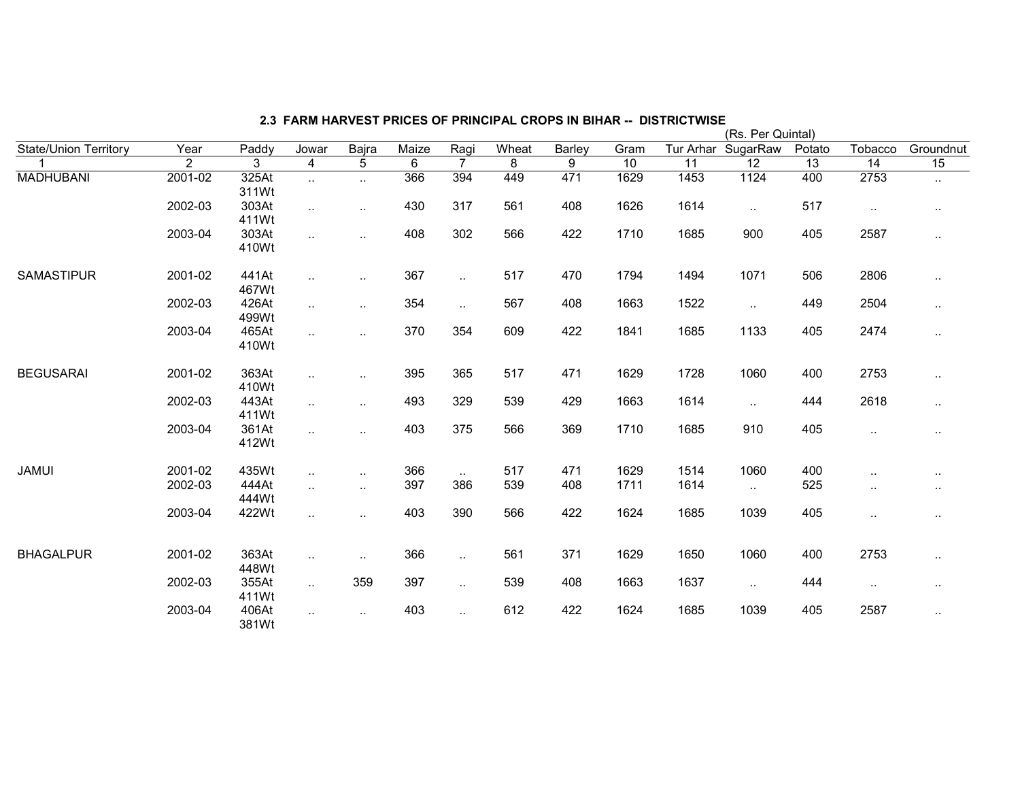|                              |                |                |                        |           |       |                      |                         |                |      |           | (Rs. Per Quintal) |        |                      |                 |
|------------------------------|----------------|----------------|------------------------|-----------|-------|----------------------|-------------------------|----------------|------|-----------|-------------------|--------|----------------------|-----------------|
| <b>State/Union Territory</b> | Year           | Paddy          | Jowar                  | Bajra     | Maize | Ragi                 | Wheat                   | Barley         | Gram | Tur Arhar | SugarRaw          | Potato | Tobacco              | Groundnut       |
|                              | $\overline{2}$ | 3              | 4                      | 5         | 6     | $\overline{7}$       | $\overline{\mathbf{8}}$ | $\overline{9}$ | 10   | 11        | 12                | 13     | $\overline{14}$      | $\overline{15}$ |
| <b>MADHUBANI</b>             | $2001 - 02$    | 325At<br>311Wt | $\ddotsc$              | $\ddotsc$ | 366   | 394                  | 449                     | 471            | 1629 | 1453      | 1124              | 400    | 2753                 | $\sim$          |
|                              | 2002-03        | 303At<br>411Wt | $\ddotsc$              | $\ddotsc$ | 430   | 317                  | 561                     | 408            | 1626 | 1614      | $\ddotsc$         | 517    | $\sim$ .             | $\cdot$ .       |
|                              | 2003-04        | 303At<br>410Wt |                        | $\ddotsc$ | 408   | 302                  | 566                     | 422            | 1710 | 1685      | 900               | 405    | 2587                 | $\ddotsc$       |
| <b>SAMASTIPUR</b>            | 2001-02        | 441At<br>467Wt | $\ddotsc$              | $\ddotsc$ | 367   | $\ddot{\phantom{a}}$ | 517                     | 470            | 1794 | 1494      | 1071              | 506    | 2806                 | $\sim$          |
|                              | 2002-03        | 426At<br>499Wt | $\ddotsc$              | $\ddotsc$ | 354   | $\ddotsc$            | 567                     | 408            | 1663 | 1522      | $\cdot$ .         | 449    | 2504                 | $\sim$          |
|                              | 2003-04        | 465At<br>410Wt | $\ddotsc$              | $\ddotsc$ | 370   | 354                  | 609                     | 422            | 1841 | 1685      | 1133              | 405    | 2474                 | $\ddotsc$       |
| <b>BEGUSARAI</b>             | 2001-02        | 363At<br>410Wt | $\ddotsc$              | $\ddotsc$ | 395   | 365                  | 517                     | 471            | 1629 | 1728      | 1060              | 400    | 2753                 | $\sim$          |
|                              | 2002-03        | 443At<br>411Wt | $\ddotsc$              | $\ddotsc$ | 493   | 329                  | 539                     | 429            | 1663 | 1614      | $\ddotsc$         | 444    | 2618                 | $\ddotsc$       |
|                              | 2003-04        | 361At<br>412Wt | $\ddotsc$              | $\ddotsc$ | 403   | 375                  | 566                     | 369            | 1710 | 1685      | 910               | 405    | $\cdot$ .            | $\cdot$ .       |
| <b>JAMUI</b>                 | 2001-02        | 435Wt          | $\ddotsc$              | $\ddotsc$ | 366   | $\sim$               | 517                     | 471            | 1629 | 1514      | 1060              | 400    | $\ddot{\phantom{a}}$ |                 |
|                              | 2002-03        | 444At<br>444Wt | $\ddotsc$              | $\ddotsc$ | 397   | 386                  | 539                     | 408            | 1711 | 1614      | $\sim$            | 525    | $\cdot$ .            | $\cdot$ .       |
|                              | 2003-04        | 422Wt          | $\ddotsc$              | $\ddotsc$ | 403   | 390                  | 566                     | 422            | 1624 | 1685      | 1039              | 405    | $\cdot$ .            | $\sim$          |
| <b>BHAGALPUR</b>             | 2001-02        | 363At<br>448Wt | $\ddot{\phantom{a}}$ . | $\ddotsc$ | 366   | $\ddotsc$            | 561                     | 371            | 1629 | 1650      | 1060              | 400    | 2753                 | $\ddotsc$       |
|                              | 2002-03        | 355At<br>411Wt | $\ddotsc$              | 359       | 397   | $\ddotsc$            | 539                     | 408            | 1663 | 1637      | $\cdot$ .         | 444    | $\sim$               | $\sim$          |
|                              | 2003-04        | 406At<br>381Wt | $\ddot{\phantom{a}}$ . | $\ddotsc$ | 403   | $\ddotsc$            | 612                     | 422            | 1624 | 1685      | 1039              | 405    | 2587                 | $\cdots$        |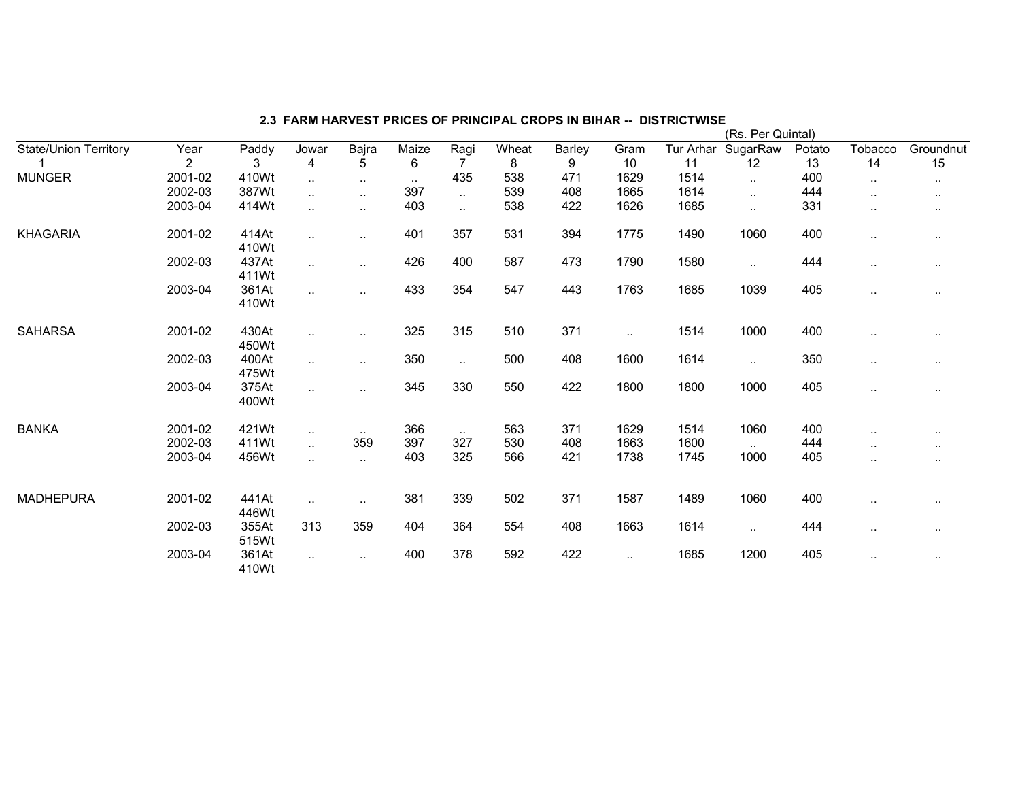|                       |                |                |                      |               |        |                      |       |        |        | 2.3 FARM HARVEST PRICES OF PRINCIPAL CROPS IN BIHAR -- DISTRICTWISE |                   |        |                      |                 |
|-----------------------|----------------|----------------|----------------------|---------------|--------|----------------------|-------|--------|--------|---------------------------------------------------------------------|-------------------|--------|----------------------|-----------------|
|                       |                |                |                      |               |        |                      |       |        |        |                                                                     | (Rs. Per Quintal) |        |                      |                 |
| State/Union Territory | Year           | Paddy          | Jowar                | Bajra         | Maize  | Ragi                 | Wheat | Barley | Gram   | Tur Arhar                                                           | SugarRaw          | Potato | Tobacco              | Groundnut       |
|                       | $\overline{2}$ | 3              | 4                    | 5             | 6      | $\overline{7}$       | 8     | 9      | 10     | 11                                                                  | $\overline{12}$   | 13     | 14                   | $\overline{15}$ |
| <b>MUNGER</b>         | $2001 - 02$    | 410Wt          | $\ddotsc$            | $\ddotsc$     | $\sim$ | 435                  | 538   | 471    | 1629   | 1514                                                                | $\ddotsc$         | 400    | $\ldots$             | $\sim$          |
|                       | 2002-03        | 387Wt          | $\ddotsc$            | $\cdot$ .     | 397    | $\ddot{\phantom{a}}$ | 539   | 408    | 1665   | 1614                                                                |                   | 444    |                      |                 |
|                       | 2003-04        | 414Wt          | $\ddotsc$            | $\ddotsc$     | 403    | $\ddotsc$            | 538   | 422    | 1626   | 1685                                                                | $\cdot$ .         | 331    | $\cdot$ .            | $\cdots$        |
| <b>KHAGARIA</b>       | 2001-02        | 414At<br>410Wt | $\ddot{\phantom{1}}$ |               | 401    | 357                  | 531   | 394    | 1775   | 1490                                                                | 1060              | 400    | $\sim$               | $\cdots$        |
|                       | 2002-03        | 437At<br>411Wt | $\ddotsc$            | $\ddotsc$     | 426    | 400                  | 587   | 473    | 1790   | 1580                                                                | $\ddotsc$         | 444    | $\cdot$ .            | $\cdot$ .       |
|                       | 2003-04        | 361At<br>410Wt | $\ddotsc$            | $\ddotsc$     | 433    | 354                  | 547   | 443    | 1763   | 1685                                                                | 1039              | 405    | $\ldots$             | $\cdot$ .       |
| <b>SAHARSA</b>        | 2001-02        | 430At<br>450Wt | $\ddotsc$            | $\ldots$      | 325    | 315                  | 510   | 371    | $\sim$ | 1514                                                                | 1000              | 400    | $\ldots$             | $\cdots$        |
|                       | 2002-03        | 400At<br>475Wt | $\ddotsc$            | $\ddotsc$     | 350    | $\sim$               | 500   | 408    | 1600   | 1614                                                                | $\ddotsc$         | 350    | $\cdot$ .            | $\cdots$        |
|                       | 2003-04        | 375At<br>400Wt | $\ddotsc$            | $\cdot$ .     | 345    | 330                  | 550   | 422    | 1800   | 1800                                                                | 1000              | 405    | $\sim$               | $\cdots$        |
| <b>BANKA</b>          | 2001-02        | 421Wt          | $\sim$               | $\sim$        | 366    |                      | 563   | 371    | 1629   | 1514                                                                | 1060              | 400    | $\cdot$ .            |                 |
|                       | 2002-03        | 411Wt          |                      | 359           | 397    | $\sim$<br>327        | 530   | 408    | 1663   | 1600                                                                | $\sim$ $\sim$     | 444    | $\ddot{\phantom{a}}$ | $\cdots$        |
|                       | 2003-04        | 456Wt          | ٠.                   | $\ldots$      | 403    | 325                  | 566   | 421    | 1738   | 1745                                                                | 1000              | 405    | $\cdot$ .            | <br>$\cdot$ .   |
| <b>MADHEPURA</b>      | 2001-02        | 441At<br>446Wt | $\sim$               | $\ldots$      | 381    | 339                  | 502   | 371    | 1587   | 1489                                                                | 1060              | 400    | $\cdot$ .            | $\sim$ $\sim$   |
|                       | 2002-03        | 355At<br>515Wt | 313                  | 359           | 404    | 364                  | 554   | 408    | 1663   | 1614                                                                | $\cdot$ .         | 444    | $\cdot$ .            | $\cdot$ .       |
|                       | 2003-04        | 361At<br>410Wt | $\ddot{\phantom{a}}$ | $\sim$ $\sim$ | 400    | 378                  | 592   | 422    | $\sim$ | 1685                                                                | 1200              | 405    | $\sim$               | $\cdots$        |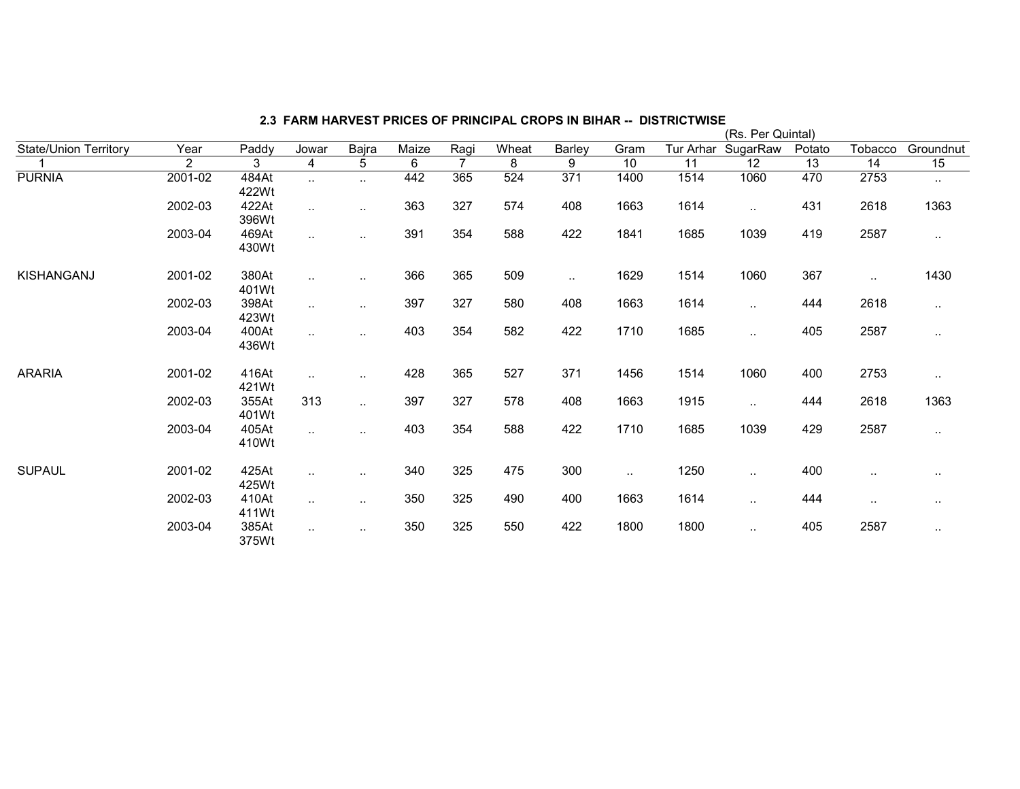|                              |                |                |                      |                      |       |                |       |          |                 |                 | (Rs. Per Quintal) |        |                 |               |
|------------------------------|----------------|----------------|----------------------|----------------------|-------|----------------|-------|----------|-----------------|-----------------|-------------------|--------|-----------------|---------------|
| <b>State/Union Territory</b> | Year           | Paddy          | Jowar                | Bajra                | Maize | Ragi           | Wheat | Barley   | Gram            | Tur Arhar       | SugarRaw          | Potato | Tobacco         | Groundnut     |
|                              | $\overline{2}$ | 3              | 4                    | 5                    | 6     | $\overline{7}$ | 8     | 9        | $\overline{10}$ | $\overline{11}$ | $\overline{12}$   | 13     | $\overline{14}$ | 15            |
| <b>PURNIA</b>                | 2001-02        | 484At<br>422Wt | $\ddotsc$            | $\ddotsc$            | 442   | 365            | 524   | 371      | 1400            | 1514            | 1060              | 470    | 2753            | $\sim$ .      |
|                              | 2002-03        | 422At<br>396Wt | $\ddotsc$            | $\sim$               | 363   | 327            | 574   | 408      | 1663            | 1614            | $\ddotsc$         | 431    | 2618            | 1363          |
|                              | 2003-04        | 469At<br>430Wt | $\ddotsc$            | $\sim$               | 391   | 354            | 588   | 422      | 1841            | 1685            | 1039              | 419    | 2587            | $\sim$        |
| KISHANGANJ                   | 2001-02        | 380At<br>401Wt | $\ddotsc$            | $\ddotsc$            | 366   | 365            | 509   | $\sim$ . | 1629            | 1514            | 1060              | 367    | $\ddotsc$       | 1430          |
|                              | 2002-03        | 398At<br>423Wt | $\ddotsc$            | $\ddot{\phantom{a}}$ | 397   | 327            | 580   | 408      | 1663            | 1614            | $\ddotsc$         | 444    | 2618            | $\sim$        |
|                              | 2003-04        | 400At<br>436Wt | $\ddotsc$            | $\sim$               | 403   | 354            | 582   | 422      | 1710            | 1685            | $\sim$            | 405    | 2587            | $\sim$        |
| <b>ARARIA</b>                | 2001-02        | 416At<br>421Wt | $\ddotsc$            | $\sim$               | 428   | 365            | 527   | 371      | 1456            | 1514            | 1060              | 400    | 2753            | $\ddotsc$     |
|                              | 2002-03        | 355At<br>401Wt | 313                  | $\ddotsc$            | 397   | 327            | 578   | 408      | 1663            | 1915            | $\ddotsc$         | 444    | 2618            | 1363          |
|                              | 2003-04        | 405At<br>410Wt | $\ddotsc$            | $\sim$               | 403   | 354            | 588   | 422      | 1710            | 1685            | 1039              | 429    | 2587            | $\ddotsc$     |
| <b>SUPAUL</b>                | 2001-02        | 425At<br>425Wt | $\ddot{\phantom{a}}$ | $\ddotsc$            | 340   | 325            | 475   | 300      | $\mathbf{L}$    | 1250            | $\sim$ $\sim$     | 400    | $\ddotsc$       | $\sim$ $\sim$ |
|                              | 2002-03        | 410At<br>411Wt | $\ddotsc$            | $\sim$               | 350   | 325            | 490   | 400      | 1663            | 1614            | $\ddotsc$         | 444    | $\sim$          | $\sim$        |
|                              | 2003-04        | 385At<br>375Wt | $\ddotsc$            | $\ddotsc$            | 350   | 325            | 550   | 422      | 1800            | 1800            | $\sim$            | 405    | 2587            | $\ddotsc$     |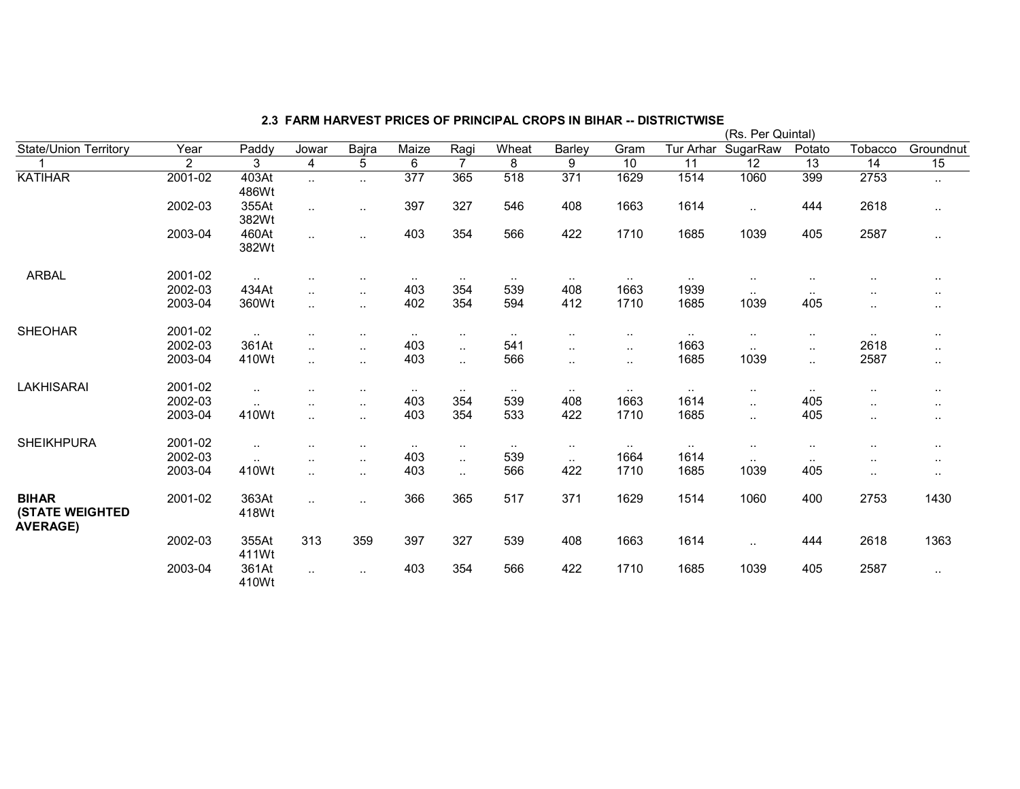|                                           |                |               |                        |                |               |               |               |               |           |           | (Rs. Per Quintal) |           |                 |                 |
|-------------------------------------------|----------------|---------------|------------------------|----------------|---------------|---------------|---------------|---------------|-----------|-----------|-------------------|-----------|-----------------|-----------------|
| <b>State/Union Territory</b>              | Year           | Paddy         | Jowar                  | Bajra          | Maize         | Ragi          | Wheat         | Barley        | Gram      | Tur Arhar | SugarRaw          | Potato    | Tobacco         | Groundnut       |
|                                           | $\overline{2}$ | 3             | 4                      | $\overline{5}$ | 6             |               | 8             | 9             | 10        | 11        | $\overline{12}$   | 13        | $\overline{14}$ | $\overline{15}$ |
| <b>KATIHAR</b>                            | 2001-02        | 403At         | $\ddotsc$              | $\ddotsc$      | 377           | 365           | 518           | 371           | 1629      | 1514      | 1060              | 399       | 2753            | $\sim$          |
|                                           |                | 486Wt         |                        |                |               |               |               |               |           |           |                   |           |                 |                 |
|                                           | 2002-03        | 355At         | $\ldots$               | $\sim$         | 397           | 327           | 546           | 408           | 1663      | 1614      | $\ddotsc$         | 444       | 2618            | $\sim$          |
|                                           |                | 382Wt         |                        |                |               |               |               |               |           |           |                   |           |                 |                 |
|                                           | 2003-04        | 460At         | $\ddotsc$              | $\sim$ $\sim$  | 403           | 354           | 566           | 422           | 1710      | 1685      | 1039              | 405       | 2587            | $\sim$          |
|                                           |                | 382Wt         |                        |                |               |               |               |               |           |           |                   |           |                 |                 |
| <b>ARBAL</b>                              | 2001-02        | $\sim$ $\sim$ | $\ddotsc$              | $\sim$         |               |               |               |               | $\cdot$ . | $\sim$    | $\sim$ $\sim$     | ٠.        |                 |                 |
|                                           | 2002-03        | 434At         | $\ddotsc$              | $\ddotsc$      | 403           | 354           | 539           | 408           | 1663      | 1939      | $\sim$            | $\sim$    |                 | $\cdot$ .       |
|                                           | 2003-04        | 360Wt         | $\ddotsc$              | $\cdot$ .      | 402           | 354           | 594           | 412           | 1710      | 1685      | 1039              | 405       | $\ddotsc$       | $\sim$          |
|                                           |                |               |                        |                |               |               |               |               |           |           |                   |           |                 |                 |
| <b>SHEOHAR</b>                            | 2001-02        | $\ddotsc$     | $\ddotsc$              | $\sim$         | $\sim$ $\sim$ | $\sim$        | $\sim$        |               | $\cdot$ . | $\sim$    | $\sim$ $\sim$     | $\sim$    | $\sim$          | $\sim$          |
|                                           | 2002-03        | 361At         | $\ddotsc$              | $\sim$         | 403           | $\sim$        | 541           | $\ddotsc$     | $\cdot$ . | 1663      | $\sim$            | $\sim$    | 2618            | $\sim$          |
|                                           | 2003-04        | 410Wt         | $\ddotsc$              | $\ddotsc$      | 403           | $\ddotsc$     | 566           | $\ddotsc$     | $\ldots$  | 1685      | 1039              | $\ddotsc$ | 2587            | $\cdot$ .       |
|                                           |                |               |                        |                |               |               |               |               |           |           |                   |           |                 |                 |
| <b>LAKHISARAI</b>                         | 2001-02        | $\sim$        | $\sim$                 | $\sim$         | $\sim$        | $\sim$ $\sim$ | $\sim$        | $\sim$ $\sim$ | $\cdot$ . | $\sim$    | $\sim$            | $\sim$    |                 | $\sim$          |
|                                           | 2002-03        | $\ddotsc$     | $\ddot{\phantom{a}}$ . | $\sim$         | 403           | 354           | 539           | 408           | 1663      | 1614      |                   | 405       | $\cdot$ .       |                 |
|                                           | 2003-04        | 410Wt         | $\sim$                 | $\sim$         | 403           | 354           | 533           | 422           | 1710      | 1685      | $\cdot$ .         | 405       | $\cdot$ .       | $\sim$          |
|                                           |                |               |                        |                |               |               |               |               |           |           |                   |           |                 |                 |
| <b>SHEIKHPURA</b>                         | 2001-02        | $\ddotsc$     | $\sim$                 | $\sim$         | $\sim$ $\sim$ | $\sim$        | $\sim$ $\sim$ | $\cdot$ .     | $\sim$    | $\sim$    | $\sim$ $\sim$     | $\sim$    |                 | $\sim$          |
|                                           | 2002-03        | ٠.            | $\ddotsc$              | $\sim$         | 403           | $\cdot$ .     | 539           | $\cdot$ .     | 1664      | 1614      | $\sim$            | $\cdots$  | $\sim$ $\sim$   | $\sim$          |
|                                           | 2003-04        | 410Wt         | $\ddotsc$              | $\ddotsc$      | 403           | $\ddotsc$     | 566           | 422           | 1710      | 1685      | 1039              | 405       | $\ddotsc$       | $\sim$          |
| <b>BIHAR</b>                              | 2001-02        | 363At         | $\sim$                 | $\ddotsc$      | 366           | 365           | 517           | 371           | 1629      | 1514      | 1060              | 400       | 2753            | 1430            |
| <b>(STATE WEIGHTED</b><br><b>AVERAGE)</b> |                | 418Wt         |                        |                |               |               |               |               |           |           |                   |           |                 |                 |
|                                           | 2002-03        | 355At         | 313                    | 359            | 397           | 327           | 539           | 408           | 1663      | 1614      | $\ddotsc$         | 444       | 2618            | 1363            |
|                                           |                | 411Wt         |                        |                |               |               |               |               |           |           |                   |           |                 |                 |
|                                           | 2003-04        | 361At         | $\ddotsc$              |                | 403           | 354           | 566           | 422           | 1710      | 1685      | 1039              | 405       | 2587            | $\cdot$ .       |
|                                           |                | 410Wt         |                        |                |               |               |               |               |           |           |                   |           |                 |                 |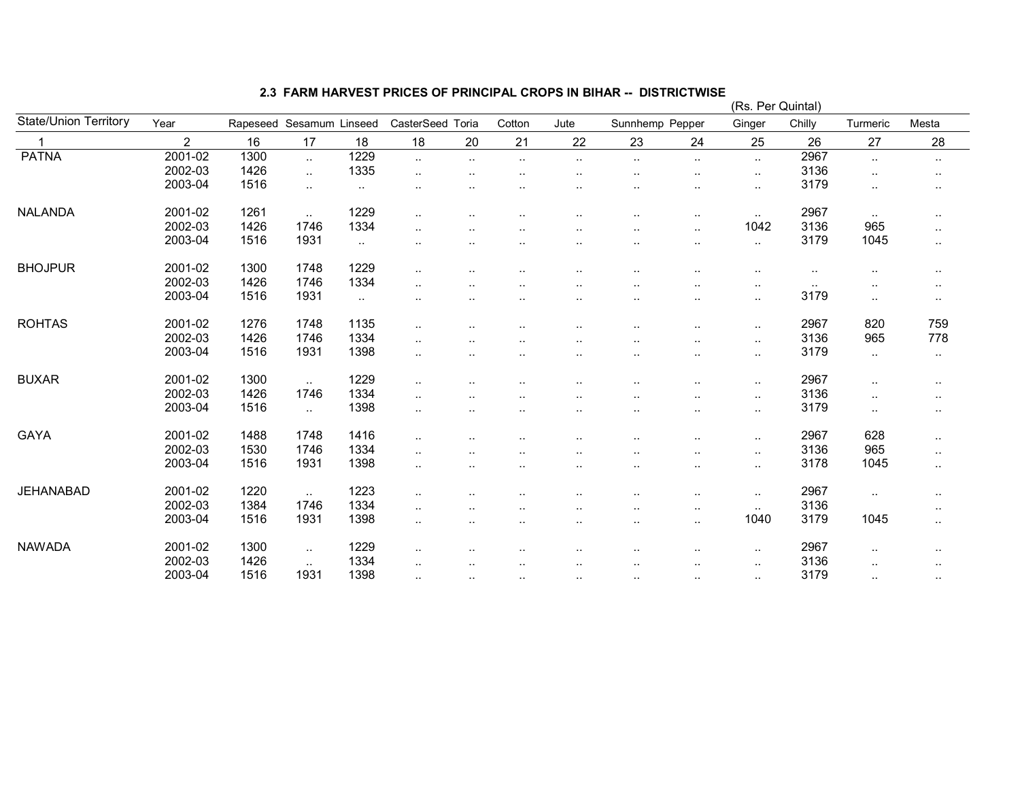|                              |                |                          |           |           |                          |                      |               |               |                 |                      | (Rs. Per Quintal) |        |                      |                        |
|------------------------------|----------------|--------------------------|-----------|-----------|--------------------------|----------------------|---------------|---------------|-----------------|----------------------|-------------------|--------|----------------------|------------------------|
| <b>State/Union Territory</b> | Year           | Rapeseed Sesamum Linseed |           |           | CasterSeed Toria         |                      | Cotton        | Jute          | Sunnhemp Pepper |                      | Ginger            | Chilly | Turmeric             | Mesta                  |
| 1                            | $\overline{2}$ | 16                       | 17        | 18        | 18                       | 20                   | 21            | 22            | 23              | 24                   | 25                | 26     | 27                   | 28                     |
| <b>PATNA</b>                 | 2001-02        | 1300                     | $\ddotsc$ | 1229      | $\ldots$                 | $\sim$               | $\cdot$ .     | $\cdot$ .     | $\ddotsc$       | $\sim$               | $\sim$            | 2967   | $\cdot$ .            | $\sim$                 |
|                              | 2002-03        | 1426                     | $\ddotsc$ | 1335      | $\ddotsc$                | $\ddotsc$            |               |               |                 | $\cdot$ .            | $\sim$            | 3136   | $\ddot{\phantom{a}}$ | $\ddotsc$              |
|                              | 2003-04        | 1516                     | $\sim$    | $\sim$    | $\cdot$ .                | $\sim$               |               | $\cdot$ .     |                 | $\cdot$ .            | $\sim$            | 3179   | $\ddot{\phantom{0}}$ | $\ddot{\phantom{a}}$   |
| <b>NALANDA</b>               | 2001-02        | 1261                     | $\ddotsc$ | 1229      | $\ddotsc$                | $\ddotsc$            |               |               |                 | $\cdot$ .            | $\ddotsc$         | 2967   | $\ddotsc$            | $\ddotsc$              |
|                              | 2002-03        | 1426                     | 1746      | 1334      | $\cdot$ .                | . .                  |               |               |                 | $\ddotsc$            | 1042              | 3136   | 965                  | $\ldots$               |
|                              | 2003-04        | 1516                     | 1931      | $\ldots$  | $\cdot$ .                | $\sim$               | $\sim$ $\sim$ |               |                 | $\sim$               | $\sim$            | 3179   | 1045                 | $\cdot$ .              |
| <b>BHOJPUR</b>               | 2001-02        | 1300                     | 1748      | 1229      | $\ddotsc$                | $\ddotsc$            | . .           | $\cdot$ .     |                 | $\ddot{\phantom{a}}$ | $\sim$            | $\sim$ | ٠.                   | $\cdot$ .              |
|                              | 2002-03        | 1426                     | 1746      | 1334      | $\cdot$ .                | $\ddotsc$            |               | . .           |                 | $\ddot{\phantom{a}}$ | $\sim$            | $\sim$ | ٠.                   | $\cdot$ .              |
|                              | 2003-04        | 1516                     | 1931      | $\ddotsc$ | $\ddot{\phantom{a}}$     | . .                  | $\cdot$ .     | $\cdot$ .     |                 | $\ddot{\phantom{a}}$ | $\ddotsc$         | 3179   | $\ddot{\phantom{a}}$ | $\ddot{\phantom{a}}$   |
| <b>ROHTAS</b>                | 2001-02        | 1276                     | 1748      | 1135      | $\cdot$ .                |                      |               |               |                 | $\sim$               | $\sim$            | 2967   | 820                  | 759                    |
|                              | 2002-03        | 1426                     | 1746      | 1334      |                          |                      |               |               |                 | ٠.                   | $\sim$            | 3136   | 965                  | 778                    |
|                              | 2003-04        | 1516                     | 1931      | 1398      | $\cdot$ .                | $\sim$               |               | $\cdot$ .     | $\ddotsc$       | $\cdot$ .            | $\sim$            | 3179   | $\ddotsc$            | $\sim$                 |
| <b>BUXAR</b>                 | 2001-02        | 1300                     | $\ddotsc$ | 1229      | $\ddot{\phantom{a}}$     | $\ddot{\phantom{a}}$ |               | . .           |                 | $\cdot$ .            | $\sim$            | 2967   | $\ddot{\phantom{a}}$ | $\cdot$ .              |
|                              | 2002-03        | 1426                     | 1746      | 1334      | $\cdot$ .                | $\sim$               |               | ٠.            |                 | $\cdot$ .            | $\sim$            | 3136   | $\cdot$ .            | $\cdot$ .              |
|                              | 2003-04        | 1516                     | $\ddotsc$ | 1398      | $\cdot$ .                |                      |               |               |                 | ٠.                   | $\sim$            | 3179   | $\ddot{\phantom{0}}$ | $\ddot{\phantom{1}}$ . |
| <b>GAYA</b>                  | 2001-02        | 1488                     | 1748      | 1416      | $\ddotsc$                | $\ddotsc$            |               |               |                 | $\ddot{\phantom{a}}$ | $\sim$            | 2967   | 628                  | $\cdot$ .              |
|                              | 2002-03        | 1530                     | 1746      | 1334      | $\ddot{\phantom{a}}$     | . .                  |               |               |                 | $\sim$               | $\sim$            | 3136   | 965                  | $\sim$                 |
|                              | 2003-04        | 1516                     | 1931      | 1398      | $\ddotsc$                |                      |               |               |                 | $\sim$               | $\sim$            | 3178   | 1045                 | $\ldots$               |
| JEHANABAD                    | 2001-02        | 1220                     | $\sim$    | 1223      | $\cdot$ .                | $\ddot{\phantom{a}}$ |               |               |                 | $\sim$               | $\sim$            | 2967   | $\cdot$ .            | $\cdot$ .              |
|                              | 2002-03        | 1384                     | 1746      | 1334      | $\overline{\phantom{a}}$ |                      |               |               |                 | ٠.                   | $\sim$            | 3136   |                      | $\sim$                 |
|                              | 2003-04        | 1516                     | 1931      | 1398      | $\cdot$ .                | $\sim$               |               | $\cdot$ .     |                 | $\sim$               | 1040              | 3179   | 1045                 | $\sim$                 |
| <b>NAWADA</b>                | 2001-02        | 1300                     | $\ddotsc$ | 1229      | $\ddot{\phantom{a}}$     |                      |               |               |                 | $\sim$               | $\sim$            | 2967   | $\ddot{\phantom{0}}$ | $\ddot{\phantom{1}}$ . |
|                              | 2002-03        | 1426                     | $\sim$    | 1334      | $\cdot$ .                | $\ddot{\phantom{0}}$ | $\cdot$ .     | $\sim$ $\sim$ | $\cdot$ .       | $\cdot$ .            | $\sim$            | 3136   | $\ddot{\phantom{a}}$ | $\cdot$ .              |
|                              | 2003-04        | 1516                     | 1931      | 1398      | $\ddotsc$                | $\sim$               |               | $\sim$        | $\ddotsc$       | $\cdot$ .            | $\sim$            | 3179   | $\ddotsc$            | $\cdot$ .              |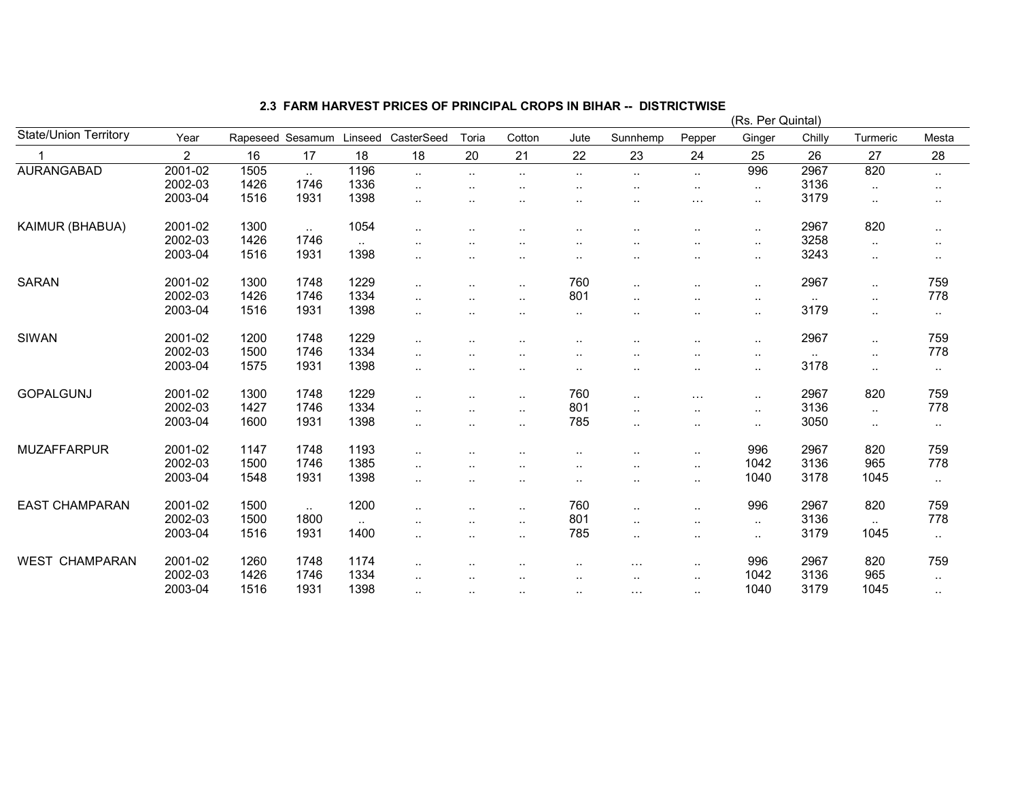|                              |                |      |                  |           |                      |                      |                      |                      | 2.3 FARM HARVEST PRICES OF PRINCIPAL CROPS IN BIHAR -- DISTRICTWISE |                      | (Rs. Per Quintal) |        |           |               |
|------------------------------|----------------|------|------------------|-----------|----------------------|----------------------|----------------------|----------------------|---------------------------------------------------------------------|----------------------|-------------------|--------|-----------|---------------|
| <b>State/Union Territory</b> | Year           |      | Rapeseed Sesamum | Linseed   | CasterSeed           | Toria                | Cotton               | Jute                 | Sunnhemp                                                            | Pepper               | Ginger            | Chilly | Turmeric  | Mesta         |
|                              | $\overline{2}$ | 16   | 17               | 18        | 18                   | 20                   | 21                   | 22                   | 23                                                                  | 24                   | 25                | 26     | 27        | 28            |
| AURANGABAD                   | 2001-02        | 1505 | $\ddotsc$        | 1196      | $\ddotsc$            | $\sim$               | $\cdot$ .            | $\ddotsc$            | $\ldots$                                                            | $\ddotsc$            | 996               | 2967   | 820       | $\sim$        |
|                              | 2002-03        | 1426 | 1746             | 1336      | $\cdot$ .            | $\sim$               | $\cdot$ .            | $\sim$ $\sim$        | $\ddot{\phantom{a}}$                                                | $\cdot$ .            | $\cdot$ .         | 3136   | $\ldots$  | $\sim$        |
|                              | 2003-04        | 1516 | 1931             | 1398      | $\ddotsc$            |                      | $\cdot$ .            | $\cdot$ .            | $\cdot$ .                                                           | $\ldots$             | $\cdot$ .         | 3179   | $\ddotsc$ | $\sim$ $\sim$ |
| KAIMUR (BHABUA)              | 2001-02        | 1300 | $\sim$           | 1054      | $\sim$               |                      | $\sim$ $\sim$        | ٠.                   | $\cdot$ .                                                           |                      | $\cdot$ .         | 2967   | 820       | $\sim$        |
|                              | 2002-03        | 1426 | 1746             | $\ddotsc$ | $\sim$               |                      |                      | $\ddot{\phantom{a}}$ |                                                                     |                      | $\cdot$ .         | 3258   | $\ddotsc$ | $\sim$        |
|                              | 2003-04        | 1516 | 1931             | 1398      | ٠.                   | $\ddot{\phantom{a}}$ |                      | $\sim$ $\sim$        |                                                                     | ٠.                   | $\cdot$ .         | 3243   | $\sim$    | $\sim$        |
| <b>SARAN</b>                 | 2001-02        | 1300 | 1748             | 1229      | $\ddotsc$            | $\ddotsc$            | $\cdot$ .            | 760                  |                                                                     | ٠.                   | $\cdot$ .         | 2967   | $\ddotsc$ | 759           |
|                              | 2002-03        | 1426 | 1746             | 1334      | $\ddotsc$            | $\sim$               | $\ddotsc$            | 801                  | $\cdot$                                                             | $\cdot$ .            | $\cdot$ .         | $\sim$ | $\ddotsc$ | 778           |
|                              | 2003-04        | 1516 | 1931             | 1398      | $\cdot$ .            | $\ddotsc$            | $\ldots$             | $\sim$ $\sim$        | $\ddot{\phantom{a}}$                                                | $\cdot$ .            | $\cdot$ .         | 3179   | $\sim$    | $\sim$        |
| <b>SIWAN</b>                 | 2001-02        | 1200 | 1748             | 1229      | $\cdot$ .            | $\cdot$ .            | $\cdot$ .            | $\ddotsc$            | $\cdot$                                                             | $\ddotsc$            | $\cdot$ .         | 2967   | $\ddotsc$ | 759           |
|                              | 2002-03        | 1500 | 1746             | 1334      | $\ddotsc$            | $\ddotsc$            | $\cdot$ .            | ٠.                   | $\cdot$ .                                                           | $\cdot$ .            | $\cdot$ .         | $\sim$ | $\ddotsc$ | 778           |
|                              | 2003-04        | 1575 | 1931             | 1398      | ٠.                   | $\ddot{\phantom{a}}$ | $\cdot$ .            | $\cdot$ .            |                                                                     | $\cdot$ .            | $\cdot$ .         | 3178   | $\sim$    | $\sim$        |
| <b>GOPALGUNJ</b>             | 2001-02        | 1300 | 1748             | 1229      | $\cdot$ .            | $\cdot$ .            | $\cdot$ .            | 760                  | $\ddotsc$                                                           | $\cdots$             | $\cdot$ .         | 2967   | 820       | 759           |
|                              | 2002-03        | 1427 | 1746             | 1334      | $\cdot$ .            | $\ddot{\phantom{a}}$ | $\cdot$ .            | 801                  |                                                                     | $\cdot$ .            | $\cdot$ .         | 3136   | $\ddotsc$ | 778           |
|                              | 2003-04        | 1600 | 1931             | 1398      | $\ddotsc$            | $\ddotsc$            | $\ddotsc$            | 785                  | $\ddot{\phantom{a}}$                                                | $\ddotsc$            | $\cdot$ .         | 3050   | $\ldots$  | $\sim$        |
| <b>MUZAFFARPUR</b>           | 2001-02        | 1147 | 1748             | 1193      | $\cdot$ .            | $\cdot$ .            | $\ldots$             | $\cdot$ .            | $\ddot{\phantom{a}}$                                                | $\cdot$ .            | 996               | 2967   | 820       | 759           |
|                              | 2002-03        | 1500 | 1746             | 1385      | $\cdot$ .            | $\ddot{\phantom{a}}$ | ٠.                   | $\ddotsc$            | $\ddot{\phantom{a}}$                                                | $\ldots$             | 1042              | 3136   | 965       | 778           |
|                              | 2003-04        | 1548 | 1931             | 1398      |                      |                      | $\cdot$ .            | $\ddot{\phantom{a}}$ |                                                                     | $\ddot{\phantom{a}}$ | 1040              | 3178   | 1045      | $\sim$        |
| <b>EAST CHAMPARAN</b>        | 2001-02        | 1500 | $\sim$           | 1200      |                      |                      | $\ddot{\phantom{a}}$ | 760                  | $\cdot$                                                             | $\ddotsc$            | 996               | 2967   | 820       | 759           |
|                              | 2002-03        | 1500 | 1800             | $\sim$    | $\ddotsc$            | $\ddot{\phantom{a}}$ | $\cdot$ .            | 801                  | $\ddot{\phantom{a}}$                                                | $\cdot$ .            | $\sim$            | 3136   | $\sim$    | 778           |
|                              | 2003-04        | 1516 | 1931             | 1400      | $\ddot{\phantom{a}}$ | $\ddot{\phantom{a}}$ | $\ldots$             | 785                  | $\ddot{\phantom{a}}$                                                | $\cdot$ .            | $\cdot$ .         | 3179   | 1045      | $\sim$        |
| <b>WEST CHAMPARAN</b>        | 2001-02        | 1260 | 1748             | 1174      |                      |                      |                      | $\sim$ $\sim$        | $\sim$ $\sim$ $\sim$                                                | $\cdot$ .            | 996               | 2967   | 820       | 759           |
|                              | 2002-03        | 1426 | 1746             | 1334      | ٠.                   | $\ddotsc$            | $\cdot$ .            | $\ddotsc$            | $\cdot$ .                                                           | $\cdot$ .            | 1042              | 3136   | 965       | $\sim$        |
|                              | 2003-04        | 1516 | 1931             | 1398      | $\cdot$ .            | $\ddotsc$            | $\cdot$ .            | $\cdot$ .            | $\sim$ $\sim$ $\sim$                                                | $\cdot$ .            | 1040              | 3179   | 1045      | $\sim$        |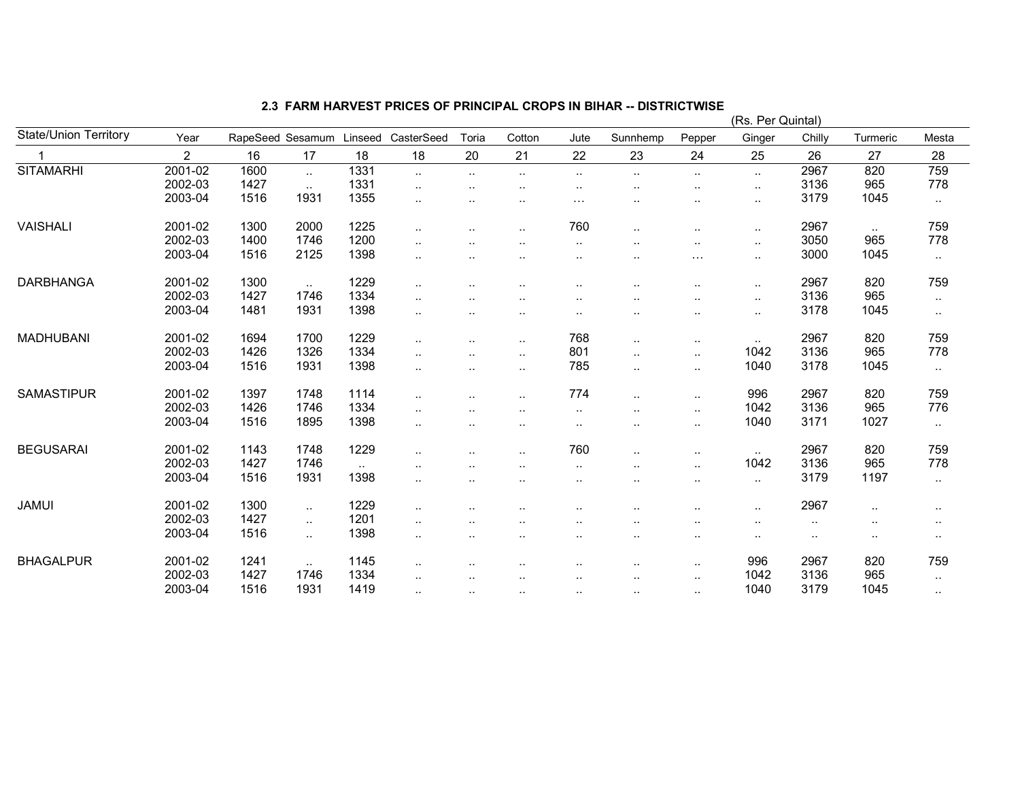|                              |                |      |                  |           |                      |                      |                      |           | 2.3 FARM HARVEST PRICES OF PRINCIPAL CROPS IN BIHAR -- DISTRICTWISE |                      | (Rs. Per Quintal)    |          |           |               |
|------------------------------|----------------|------|------------------|-----------|----------------------|----------------------|----------------------|-----------|---------------------------------------------------------------------|----------------------|----------------------|----------|-----------|---------------|
| <b>State/Union Territory</b> | Year           |      | RapeSeed Sesamum | Linseed   | CasterSeed           | Toria                | Cotton               | Jute      | Sunnhemp                                                            | Pepper               | Ginger               | Chilly   | Turmeric  | Mesta         |
| 1                            | $\overline{2}$ | 16   | 17               | 18        | 18                   | 20                   | 21                   | 22        | 23                                                                  | 24                   | 25                   | 26       | 27        | 28            |
| <b>SITAMARHI</b>             | 2001-02        | 1600 | $\ddotsc$        | 1331      | $\ddotsc$            | $\sim$               | $\cdot$ .            | $\ddotsc$ | $\ldots$                                                            | $\ldots$             | $\ddot{\phantom{1}}$ | 2967     | 820       | 759           |
|                              | 2002-03        | 1427 | $\ddotsc$        | 1331      | $\ddotsc$            | $\ddot{\phantom{1}}$ | $\cdot$ .            |           |                                                                     | $\ddotsc$            | $\ddotsc$            | 3136     | 965       | 778           |
|                              | 2003-04        | 1516 | 1931             | 1355      | ٠.                   |                      | $\ddotsc$            | $\cdots$  |                                                                     | $\cdot$ .            | $\sim$               | 3179     | 1045      | $\sim$        |
| <b>VAISHALI</b>              | 2001-02        | 1300 | 2000             | 1225      | $\ddotsc$            | $\ddotsc$            | $\ddot{\phantom{a}}$ | 760       |                                                                     | $\ddot{\phantom{a}}$ | $\sim$               | 2967     | $\ldots$  | 759           |
|                              | 2002-03        | 1400 | 1746             | 1200      |                      |                      |                      |           |                                                                     |                      | $\cdot$ .            | 3050     | 965       | 778           |
|                              | 2003-04        | 1516 | 2125             | 1398      | ٠.                   | $\ddotsc$            | $\ddotsc$            | $\ldots$  |                                                                     | $\cdots$             | $\sim$               | 3000     | 1045      | $\sim$        |
| <b>DARBHANGA</b>             | 2001-02        | 1300 | $\ddotsc$        | 1229      |                      | $\ddotsc$            | $\cdot$ .            |           | $\cdot$ .                                                           |                      | $\sim$               | 2967     | 820       | 759           |
|                              | 2002-03        | 1427 | 1746             | 1334      | ٠.                   | $\sim$               | $\cdot$ .            | $\cdot$ . | $\cdot$ .                                                           | ٠.                   | $\sim$               | 3136     | 965       | $\sim$        |
|                              | 2003-04        | 1481 | 1931             | 1398      |                      | $\ddotsc$            | $\cdot$ .            | $\cdot$ . | $\ddot{\phantom{a}}$                                                | $\ddotsc$            | $\sim$               | 3178     | 1045      | $\sim$        |
| <b>MADHUBANI</b>             | 2001-02        | 1694 | 1700             | 1229      |                      | $\ddot{\phantom{a}}$ | $\cdot$ .            | 768       | $\ddot{\phantom{a}}$                                                | $\ddotsc$            | $\sim$               | 2967     | 820       | 759           |
|                              | 2002-03        | 1426 | 1326             | 1334      |                      | $\ddotsc$            | $\cdot$ .            | 801       |                                                                     | $\cdot$ .            | 1042                 | 3136     | 965       | 778           |
|                              | 2003-04        | 1516 | 1931             | 1398      | ٠.                   | $\ddotsc$            | $\ldots$             | 785       |                                                                     | $\cdot$ .            | 1040                 | 3178     | 1045      | $\sim$        |
| <b>SAMASTIPUR</b>            | 2001-02        | 1397 | 1748             | 1114      | $\ddotsc$            | $\ddotsc$            | $\cdot$ .            | 774       |                                                                     | $\ldots$             | 996                  | 2967     | 820       | 759           |
|                              | 2002-03        | 1426 | 1746             | 1334      | $\ddotsc$            | $\sim$               | $\cdot$ .            | $\cdot$ . |                                                                     | $\ldots$             | 1042                 | 3136     | 965       | 776           |
|                              | 2003-04        | 1516 | 1895             | 1398      | ٠.                   | $\ddotsc$            | $\ddotsc$            | $\cdot$ . |                                                                     | $\ldots$             | 1040                 | 3171     | 1027      | $\sim$        |
| <b>BEGUSARAI</b>             | 2001-02        | 1143 | 1748             | 1229      |                      | $\ddotsc$            | $\cdot$ .            | 760       |                                                                     | $\ddotsc$            | $\sim$               | 2967     | 820       | 759           |
|                              | 2002-03        | 1427 | 1746             | $\ddotsc$ | ٠.                   |                      | $\ddotsc$            |           |                                                                     |                      | 1042                 | 3136     | 965       | 778           |
|                              | 2003-04        | 1516 | 1931             | 1398      |                      | $\ddotsc$            | $\cdot$ .            |           |                                                                     |                      | $\ddotsc$            | 3179     | 1197      | $\sim$        |
| <b>JAMUI</b>                 | 2001-02        | 1300 | $\ddotsc$        | 1229      |                      |                      |                      |           |                                                                     |                      | $\cdot$ .            | 2967     | $\ddotsc$ | $\sim$        |
|                              | 2002-03        | 1427 | ٠.               | 1201      | $\sim$               | $\sim$               | $\sim$               |           | $\cdot$ .                                                           | ٠.                   | $\sim$               | $\cdots$ | $\cdots$  | $\sim$        |
|                              | 2003-04        | 1516 | $\ddotsc$        | 1398      |                      | $\ddotsc$            | $\cdot$ .            |           | $\ddot{\phantom{a}}$                                                |                      | $\sim$               | $\sim$   | $\sim$    | $\sim$ $\sim$ |
| <b>BHAGALPUR</b>             | 2001-02        | 1241 | $\ddotsc$        | 1145      | $\ddot{\phantom{a}}$ | $\ddotsc$            | $\cdot$ .            |           | $\ddot{\phantom{a}}$                                                | $\ddot{\phantom{a}}$ | 996                  | 2967     | 820       | 759           |
|                              | 2002-03        | 1427 | 1746             | 1334      | $\ddot{\phantom{a}}$ |                      | $\ddotsc$            |           | $\cdot$ .                                                           | $\ddotsc$            | 1042                 | 3136     | 965       | $\sim$        |
|                              | 2003-04        | 1516 | 1931             | 1419      | $\sim$               | $\sim$               | $\cdot$ .            | $\sim$    | $\cdot$ .                                                           | ٠.                   | 1040                 | 3179     | 1045      | $\sim$        |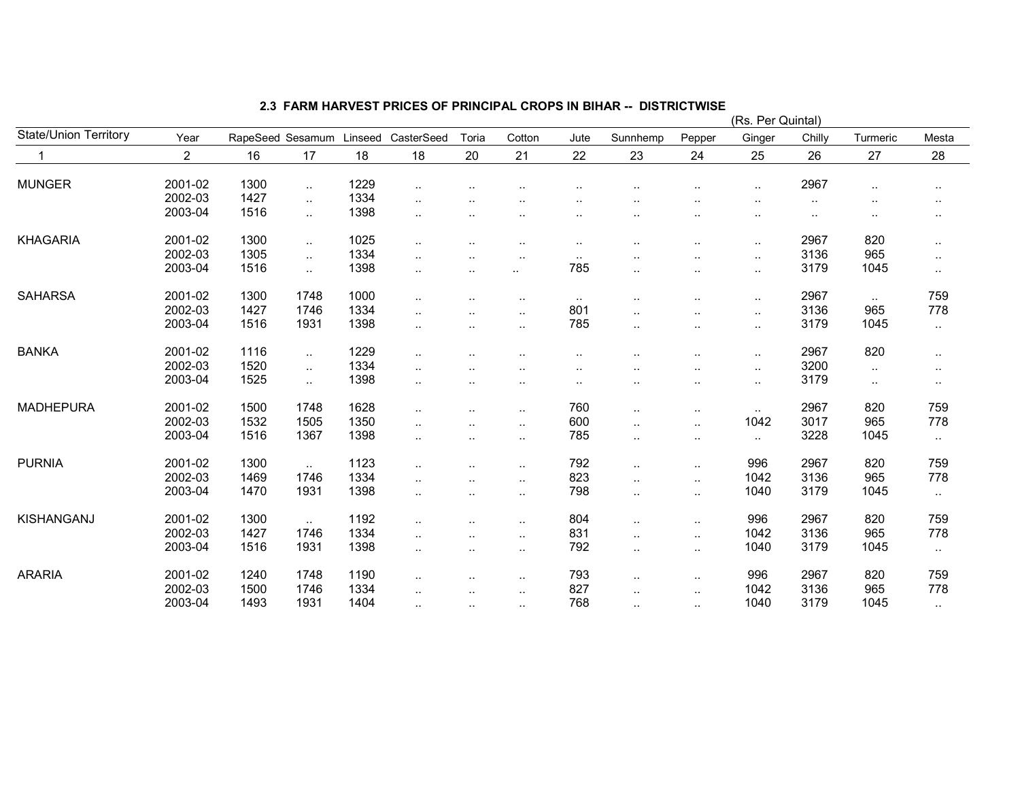|                              |                |                  |           |         |                      |                      |                      |               |                      |                        | (Rs. Per Quintal) |        |           |                      |
|------------------------------|----------------|------------------|-----------|---------|----------------------|----------------------|----------------------|---------------|----------------------|------------------------|-------------------|--------|-----------|----------------------|
| <b>State/Union Territory</b> | Year           | RapeSeed Sesamum |           | Linseed | CasterSeed           | Toria                | Cotton               | Jute          | Sunnhemp             | Pepper                 | Ginger            | Chilly | Turmeric  | Mesta                |
|                              | $\overline{2}$ | 16               | 17        | 18      | 18                   | 20                   | 21                   | 22            | 23                   | 24                     | 25                | 26     | 27        | 28                   |
| <b>MUNGER</b>                | 2001-02        | 1300             | $\ddotsc$ | 1229    | $\cdot$ .            |                      |                      |               |                      |                        | $\ddotsc$         | 2967   | ٠.        | $\ddot{\phantom{1}}$ |
|                              | 2002-03        | 1427             | $\ddotsc$ | 1334    | $\cdot$ .            |                      |                      | $\cdot$ .     |                      |                        | $\sim$            | $\sim$ | $\cdots$  | $\cdot$ .            |
|                              | 2003-04        | 1516             | $\ddotsc$ | 1398    | ٠.                   | $\ddotsc$            |                      | $\sim$ $\sim$ |                      | $\ddot{\phantom{1}}$ . | $\sim$            | $\sim$ | $\cdot$ . | $\ddot{\phantom{1}}$ |
| <b>KHAGARIA</b>              | 2001-02        | 1300             | $\ddotsc$ | 1025    | $\cdot$ .            | $\ddotsc$            |                      | $\ddotsc$     |                      | ٠.                     | $\sim$            | 2967   | 820       | $\sim$               |
|                              | 2002-03        | 1305             | $\ddotsc$ | 1334    | $\ddot{\phantom{a}}$ | $\ddot{\phantom{0}}$ | $\cdot$ .            | $\sim$ $\sim$ | $\cdot$ .            | $\cdot$ .              | $\sim$            | 3136   | 965       | $\ldots$             |
|                              | 2003-04        | 1516             | $\ddotsc$ | 1398    | $\ddot{\phantom{a}}$ |                      | $\ddotsc$            | 785           | $\ddotsc$            | $\ddot{\phantom{a}}$   | $\sim$            | 3179   | 1045      | $\ddotsc$            |
| <b>SAHARSA</b>               | 2001-02        | 1300             | 1748      | 1000    | $\ddot{\phantom{a}}$ | $\ddot{\phantom{a}}$ | $\cdot$ .            | $\sim$ $\sim$ | $\cdot$              | $\cdot$ .              | $\ddotsc$         | 2967   | $\ldots$  | 759                  |
|                              | 2002-03        | 1427             | 1746      | 1334    | $\ddot{\phantom{a}}$ | $\ddot{\phantom{a}}$ | $\ddot{\phantom{a}}$ | 801           | $\ddot{\phantom{a}}$ | $\cdot$ .              | $\cdot$ .         | 3136   | 965       | 778                  |
|                              | 2003-04        | 1516             | 1931      | 1398    | $\ddot{\phantom{a}}$ |                      | $\cdot$ .            | 785           | $\ddot{\phantom{a}}$ | $\ddot{\phantom{a}}$   | $\sim$            | 3179   | 1045      | $\sim$               |
| <b>BANKA</b>                 | 2001-02        | 1116             | $\ddotsc$ | 1229    | $\cdot$ .            |                      |                      | $\cdot$ .     |                      |                        | $\sim$            | 2967   | 820       | $\sim$               |
|                              | 2002-03        | 1520             | $\ddotsc$ | 1334    | $\cdot$ .            |                      |                      | $\cdot$ .     |                      |                        | $\sim$            | 3200   | $\ddotsc$ | $\sim$               |
|                              | 2003-04        | 1525             | $\ddotsc$ | 1398    | $\ddot{\phantom{a}}$ | $\ddotsc$            |                      | $\sim$        |                      | ٠.                     | $\sim$            | 3179   | $\sim$    | $\ldots$             |
| <b>MADHEPURA</b>             | 2001-02        | 1500             | 1748      | 1628    | $\cdot$ .            | $\ddot{\phantom{a}}$ | $\cdot$ .            | 760           | $\ddot{\phantom{a}}$ | $\ddot{\phantom{a}}$   | $\sim$            | 2967   | 820       | 759                  |
|                              | 2002-03        | 1532             | 1505      | 1350    | $\cdot$ .            | $\ddotsc$            |                      | 600           |                      | $\cdot$ .              | 1042              | 3017   | 965       | 778                  |
|                              | 2003-04        | 1516             | 1367      | 1398    | $\ddot{\phantom{a}}$ | ٠.                   | $\cdot$ .            | 785           | $\cdot$ .            | $\sim$                 | $\sim$            | 3228   | 1045      | $\sim$               |
| <b>PURNIA</b>                | 2001-02        | 1300             | $\ddotsc$ | 1123    | $\cdot$ .            | $\ddot{\phantom{a}}$ | $\cdot$ .            | 792           | $\cdot$ .            | $\ddotsc$              | 996               | 2967   | 820       | 759                  |
|                              | 2002-03        | 1469             | 1746      | 1334    | $\ddot{\phantom{0}}$ | ٠.                   | $\ddotsc$            | 823           | $\ddotsc$            | $\cdot$ .              | 1042              | 3136   | 965       | 778                  |
|                              | 2003-04        | 1470             | 1931      | 1398    | $\ddotsc$            | $\ddot{\phantom{a}}$ | $\ddotsc$            | 798           | $\ddot{\phantom{a}}$ | $\ddotsc$              | 1040              | 3179   | 1045      | $\sim$               |
| KISHANGANJ                   | 2001-02        | 1300             | $\ddotsc$ | 1192    |                      |                      |                      | 804           |                      | $\cdot$ .              | 996               | 2967   | 820       | 759                  |
|                              | 2002-03        | 1427             | 1746      | 1334    | $\ddotsc$            | $\ddotsc$            | $\cdot$ .            | 831           | $\ddotsc$            | $\cdot$ .              | 1042              | 3136   | 965       | 778                  |
|                              | 2003-04        | 1516             | 1931      | 1398    | $\ddotsc$            | $\ddotsc$            | $\ddot{\phantom{a}}$ | 792           | $\ddotsc$            | $\ldots$               | 1040              | 3179   | 1045      | $\sim$ $\sim$        |
| <b>ARARIA</b>                | 2001-02        | 1240             | 1748      | 1190    | $\ddot{\phantom{0}}$ | $\sim$ $\sim$        | $\ddotsc$            | 793           |                      | $\cdot$ .              | 996               | 2967   | 820       | 759                  |
|                              | 2002-03        | 1500             | 1746      | 1334    | ٠.                   | $\ddotsc$            | $\cdot$ .            | 827           | $\ddotsc$            | $\cdot$ .              | 1042              | 3136   | 965       | 778                  |
|                              | 2003-04        | 1493             | 1931      | 1404    | ٠.                   |                      | $\ddotsc$            | 768           | $\ddotsc$            | $\ddotsc$              | 1040              | 3179   | 1045      | $\ldots$             |